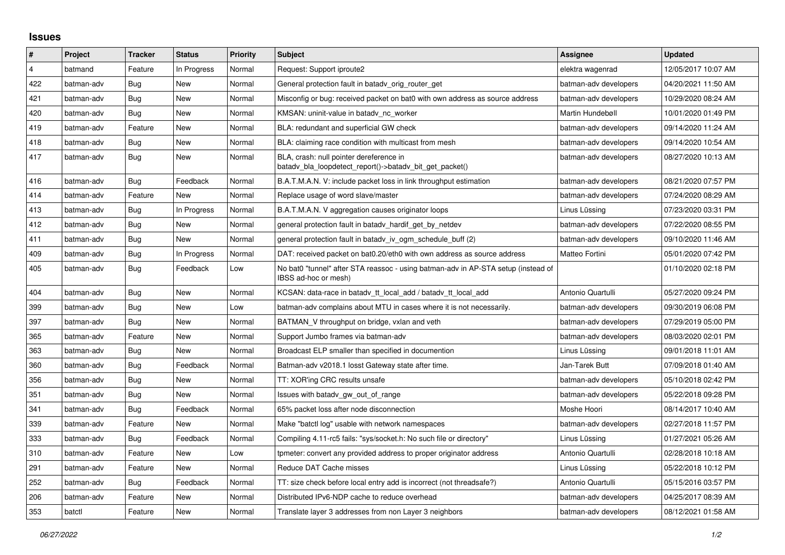## **Issues**

| #              | Project    | <b>Tracker</b> | <b>Status</b> | <b>Priority</b> | <b>Subject</b>                                                                                            | <b>Assignee</b>       | <b>Updated</b>      |
|----------------|------------|----------------|---------------|-----------------|-----------------------------------------------------------------------------------------------------------|-----------------------|---------------------|
| $\overline{4}$ | batmand    | Feature        | In Progress   | Normal          | Request: Support iproute2                                                                                 | elektra wagenrad      | 12/05/2017 10:07 AM |
| 422            | batman-adv | Bug            | New           | Normal          | General protection fault in batady orig router get                                                        | batman-adv developers | 04/20/2021 11:50 AM |
| 421            | batman-adv | Bug            | New           | Normal          | Misconfig or bug: received packet on bat0 with own address as source address                              | batman-adv developers | 10/29/2020 08:24 AM |
| 420            | batman-adv | Bug            | New           | Normal          | KMSAN: uninit-value in batady nc worker                                                                   | Martin Hundebøll      | 10/01/2020 01:49 PM |
| 419            | batman-adv | Feature        | New           | Normal          | BLA: redundant and superficial GW check                                                                   | batman-adv developers | 09/14/2020 11:24 AM |
| 418            | batman-adv | Bug            | New           | Normal          | BLA: claiming race condition with multicast from mesh                                                     | batman-adv developers | 09/14/2020 10:54 AM |
| 417            | batman-adv | Bug            | New           | Normal          | BLA, crash: null pointer dereference in<br>batady_bla_loopdetect_report()->batady_bit_get_packet()        | batman-adv developers | 08/27/2020 10:13 AM |
| 416            | batman-adv | Bug            | Feedback      | Normal          | B.A.T.M.A.N. V: include packet loss in link throughput estimation                                         | batman-adv developers | 08/21/2020 07:57 PM |
| 414            | batman-adv | Feature        | <b>New</b>    | Normal          | Replace usage of word slave/master                                                                        | batman-adv developers | 07/24/2020 08:29 AM |
| 413            | batman-adv | Bug            | In Progress   | Normal          | B.A.T.M.A.N. V aggregation causes originator loops                                                        | Linus Lüssing         | 07/23/2020 03:31 PM |
| 412            | batman-adv | Bug            | New           | Normal          | general protection fault in batady hardif get by netdev                                                   | batman-adv developers | 07/22/2020 08:55 PM |
| 411            | batman-adv | <b>Bug</b>     | <b>New</b>    | Normal          | general protection fault in batadv_iv_ogm_schedule_buff (2)                                               | batman-adv developers | 09/10/2020 11:46 AM |
| 409            | batman-adv | Bug            | In Progress   | Normal          | DAT: received packet on bat0.20/eth0 with own address as source address                                   | Matteo Fortini        | 05/01/2020 07:42 PM |
| 405            | batman-adv | Bug            | Feedback      | Low             | No bat0 "tunnel" after STA reassoc - using batman-adv in AP-STA setup (instead of<br>IBSS ad-hoc or mesh) |                       | 01/10/2020 02:18 PM |
| 404            | batman-adv | Bug            | <b>New</b>    | Normal          | KCSAN: data-race in batadv_tt_local_add / batadv_tt_local_add                                             | Antonio Quartulli     | 05/27/2020 09:24 PM |
| 399            | batman-adv | Bug            | <b>New</b>    | Low             | batman-adv complains about MTU in cases where it is not necessarily.                                      | batman-adv developers | 09/30/2019 06:08 PM |
| 397            | batman-adv | Bug            | New           | Normal          | BATMAN_V throughput on bridge, vxlan and veth                                                             | batman-adv developers | 07/29/2019 05:00 PM |
| 365            | batman-adv | Feature        | New           | Normal          | Support Jumbo frames via batman-adv                                                                       | batman-adv developers | 08/03/2020 02:01 PM |
| 363            | batman-adv | Bug            | <b>New</b>    | Normal          | Broadcast ELP smaller than specified in documention                                                       | Linus Lüssing         | 09/01/2018 11:01 AM |
| 360            | batman-adv | Bug            | Feedback      | Normal          | Batman-adv v2018.1 losst Gateway state after time.                                                        | Jan-Tarek Butt        | 07/09/2018 01:40 AM |
| 356            | batman-adv | Bug            | <b>New</b>    | Normal          | TT: XOR'ing CRC results unsafe                                                                            | batman-adv developers | 05/10/2018 02:42 PM |
| 351            | batman-adv | Bug            | New           | Normal          | Issues with batady gw out of range                                                                        | batman-adv developers | 05/22/2018 09:28 PM |
| 341            | batman-adv | Bug            | Feedback      | Normal          | 65% packet loss after node disconnection                                                                  | Moshe Hoori           | 08/14/2017 10:40 AM |
| 339            | batman-adv | Feature        | <b>New</b>    | Normal          | Make "batctl log" usable with network namespaces                                                          | batman-adv developers | 02/27/2018 11:57 PM |
| 333            | batman-adv | Bug            | Feedback      | Normal          | Compiling 4.11-rc5 fails: "sys/socket.h: No such file or directory"                                       | Linus Lüssing         | 01/27/2021 05:26 AM |
| 310            | batman-adv | Feature        | New           | Low             | tpmeter: convert any provided address to proper originator address                                        | Antonio Quartulli     | 02/28/2018 10:18 AM |
| 291            | batman-adv | Feature        | <b>New</b>    | Normal          | Reduce DAT Cache misses                                                                                   | Linus Lüssing         | 05/22/2018 10:12 PM |
| 252            | batman-adv | Bug            | Feedback      | Normal          | TT: size check before local entry add is incorrect (not threadsafe?)                                      | Antonio Quartulli     | 05/15/2016 03:57 PM |
| 206            | batman-adv | Feature        | New           | Normal          | Distributed IPv6-NDP cache to reduce overhead                                                             | batman-adv developers | 04/25/2017 08:39 AM |
| 353            | batctl     | Feature        | <b>New</b>    | Normal          | Translate layer 3 addresses from non Layer 3 neighbors                                                    | batman-adv developers | 08/12/2021 01:58 AM |